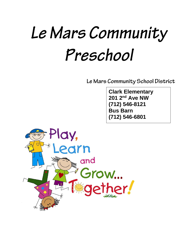# Le Mars Community Preschool

Le Mars Community School District

**Clark Elementary 201 2nd Ave NW (712) 546-8121 Bus Barn (712) 546-6801**

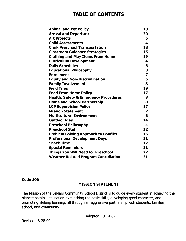# **TABLE OF CONTENTS**

| <b>Animal and Pet Policy</b>                     | 18                      |
|--------------------------------------------------|-------------------------|
| <b>Arrival and Departure</b>                     | 20                      |
| <b>Art Projects</b>                              | 6                       |
| <b>Child Assessments</b>                         | 4                       |
| <b>Clark Preschool Transportation</b>            | 18                      |
| <b>Classroom Guidance Strategies</b>             | 15                      |
| <b>Clothing and Play Items From Home</b>         | 19                      |
| <b>Curriculum Development</b>                    | 4                       |
| <b>Daily Schedules</b>                           | 6                       |
| <b>Educational Philosophy</b>                    | 3                       |
| <b>Enrollment</b>                                | $\overline{\mathbf{z}}$ |
| <b>Equity and Non-Discrimination</b>             | 6                       |
| <b>Family Involvement</b>                        | 8                       |
| <b>Field Trips</b>                               | 19                      |
| <b>Food From Home Policy</b>                     | 17 <sub>2</sub>         |
| <b>Health, Safety &amp; Emergency Procedures</b> | 8                       |
| <b>Home and School Partnership</b>               | 8                       |
| <b>LCP Supervision Policy</b>                    | 17                      |
| <b>Mission Statement</b>                         | $\overline{2}$          |
| <b>Multicultural Environment</b>                 | 6                       |
| <b>Outdoor Play</b>                              | 14                      |
| <b>Preschool Philosophy</b>                      | 4                       |
| <b>Preschool Staff</b>                           | 22                      |
| <b>Problem Solving Approach to Conflict</b>      | 15                      |
| <b>Professional Development Days</b>             | 21                      |
| <b>Snack Time</b>                                | 17 <sub>2</sub>         |
| <b>Special Reminders</b>                         | 21                      |
| <b>Things You Will Need for Preschool</b>        | 22                      |
| <b>Weather Related Program Cancellation</b>      | 21                      |

#### **Code 100**

#### **MISSION STATEMENT**

The Mission of the LeMars Community School District is to guide every student in achieving the highest possible education by teaching the basic skills, developing good character, and promoting lifelong learning, all through an aggressive partnership with students, families, school, and community.

Adopted: 9-14-87

Revised: 8-28-00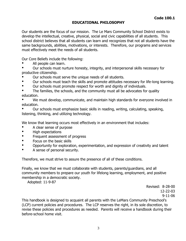# **EDUCATIONAL PHILOSOPHY**

Our students are the focus of our mission. The Le Mars Community School District exists to develop the intellectual, creative, physical, social and civic capabilities of all students. This school district believes that all students can learn and recognizes that not all students have the same backgrounds, abilities, motivations, or interests. Therefore, our programs and services must effectively meet the needs of all students.

Our Core Beliefs include the following:

All people can learn.

Our schools must nurture honesty, integrity, and interpersonal skills necessary for productive citizenship.

- Our schools must serve the unique needs of all students.
- Our schools must teach the skills and promote attitudes necessary for life-long learning.
- Our schools must promote respect for worth and dignity of individuals.
- The families, the schools, and the community must all be advocates for quality education.

We must develop, communicate, and maintain high standards for everyone involved in education.

Our schools must emphasize basic skills in reading, writing, calculating, speaking, listening, thinking, and utilizing technology.

We know that learning occurs most effectively in an environment that includes:

- A clear sense of purpose
- High expectations
- Frequent assessment of progress
- Focus on the basic skills
- Opportunity for exploration, experimentation, and expression of creativity and talent
- A sense of personal security.

Therefore, we must strive to assure the presence of all of these conditions.

Finally, we know that we must collaborate with students, parents/guardians, and all community members to prepare our youth for lifelong learning, employment, and positive membership in a democratic society.

Adopted: 11-9-87

Revised: 8-28-00 12-22-03 9-11-06

This handbook is designed to acquaint all parents with the LeMars Community Preschool's (LCP) current policies and procedures. The LCP reserves the right, in its sole discretion, to revise these policies and procedures as needed. Parents will receive a handbook during their before-school home visit.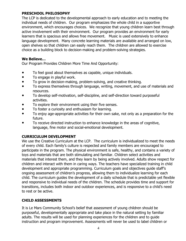# **PRESCHOOL PHILOSOPHY**

The LCP is dedicated to the developmental approach to early education and to meeting the individual needs of children. Our program emphasizes the whole child in a supportive environment, which encourages choices. We recognize that young children learn best through active involvement with their environment. Our program provides an environment for early learners that is spacious and allows free movement. Music is used extensively to enhance language development. Many concrete learning materials are available and arranged on low, open shelves so that children can easily reach them. The children are allowed to exercise choice as a building block to decision-making and problem-solving strategies.

# **We Believe…**

Our Program Provides Children More Time And Opportunity:

- To feel good about themselves as capable, unique individuals.
- To engage in playful work.
- To grow in decision-making, problem-solving, and creative thinking.
- To express themselves through language, writing, movement, and use of materials and resources.
- To develop self-motivation, self-discipline, and self-direction toward purposeful activities.
- To explore their environment using their five senses.
- To foster a curiosity and enthusiasm for learning.
- To enjoy age-appropriate activities for their own sake, not only as a preparation for the future.
- To receive directed instruction to enhance knowledge in the areas of cognitive, language, fine motor and social-emotional development.

# **CURRICULUM DEVELOPMENT**

We use the Creative Curriculum at the LCP. The curriculum is individualized to meet the needs of every child. Each family's culture is respected and family members are encouraged to participate in the program. The physical environment is safe, healthy, and contains a variety of toys and materials that are both stimulating and familiar. Children select activities and materials that interest them, and they learn by being actively involved. Adults show respect for children and interact with them in caring ways. The teachers have specialized training in child development and appropriate programming. Curriculum goals and objectives guide staff's ongoing assessment of children's progress, allowing them to individualize learning for each child. The curriculum guides the development of a daily schedule that is predictable yet flexible and responsive to individual needs of the children. The schedule provides time and support for transitions, includes both indoor and outdoor experiences, and is responsive to a child's need to rest or be active.

# **CHILD ASSESSMENTS**

It is Le Mars Community School's belief that assessment of young children should be purposeful, developmentally appropriate and take place in the natural setting by familiar adults. The results will be used for planning experiences for the children and to guide instruction and program improvement. Assessments will never be used to label children or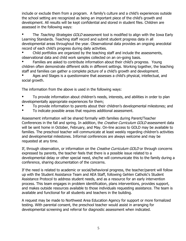include or exclude them from a program. A family's culture and a child's experiences outside the school setting are recognized as being an important piece of the child's growth and development. All results will be kept confidential and stored in student files. Children are assessed in the following ways:

The Teaching Strategies GOLD assessment tool is modified to align with the Iowa Early Learning Standards. Teaching staff record and submit student progress data in all developmental areas throughout the year. Observational data provides an ongoing anecdotal record of each child's progress during daily activities.

Child portfolios are organized by the teaching staff and include the assessments, observational data and child work samples collected on an on-going basis.

Families are asked to contribute information about their child's progress. Young children often demonstrate different skills in different settings. Working together, the teaching staff and families can gather a complete picture of a child's growth and development.

Ages and Stages is a questionnaire that assesses a child's physical, intellectual, and social growth.

The information from the above is used in the following ways:

To provide information about children's needs, interests, and abilities in order to plan developmentally appropriate experiences for them;

- To provide information to parents about their children's developmental milestones; and
- To indicate possible areas that requires additional assessment.

Assessment information will be shared formally with families during Parent/Teacher Conferences in the fall and spring. In addition, the Creative Curriculum GOLD assessment data will be sent home in October, February, and May. On-line access to GOLD may be available to families. The preschool teacher will communicate at least weekly regarding children's activities and developmental milestones. Informal conferences are always welcome and may be requested at any time.

If, through observation, or information on the Creative Curriculum GOLD or through concerns expressed by parents, the teacher feels that there is a possible issue related to a developmental delay or other special need, she/he will communicate this to the family during a conference, sharing documentation of the concerns.

If the need is related to academic or social/behavioral progress, the teacher/parent will follow up with the Student Assistance Team and AEA Staff, following Gehlen Catholic's Student Assistance Protocol to address student needs, and as a resource for an early intervention process. This team engages in problem identification, plans interventions, provides support, and makes outside resources available to those individuals requesting assistance. The team is available and functional for all students and teachers in the building.

A request may be made to Northwest Area Education Agency for support or more formalized testing. With parental consent, the preschool teacher would assist in arranging for developmental screening and referral for diagnostic assessment when indicated.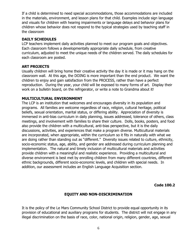If a child is determined to need special accommodations, those accommodations are included in the materials, environment, and lesson plans for that child. Examples include sign language and visuals for children with hearing impairments or language delays and behavior plans for children whose behavior does not respond to the typical strategies used by teaching staff in the classroom

#### **DAILY SCHEDULES**

LCP teachers implement daily activities planned to meet our program goals and objectives. Each classroom follows a developmentally appropriate daily schedule, from creative curriculum, adjusted to meet the unique needs of the children served. The daily schedules for each classroom are posted.

#### **ART PROJECTS**

Usually children will bring home their creative activity the day it is made or it may hang on the classroom wall. At this age, the DOING is more important than the end product. We want the children to enjoy and gain satisfaction from the PROCESS, rather than have a perfect reproduction. During the year, your child will be exposed to many forms of art. Display their work on a bulletin board, on the refrigerator, or write a note to Grandma about it!

#### **MULTICULTURAL ENVIRONMENT**

The LCP is an institution that welcomes and encourages diversity in its population and programs. All families are welcome regardless of race, religion, cultural heritage, political beliefs, sexual orientation, marital status, or differing ability. Appreciation of diversity is immersed in anti-bias curriculum in daily planning, issues addressed, tolerance of others, class meetings, and involvement with families to share their culture. Dolls, books, posters, and food also provide the children with a multicultural, anti-bias perspective, but it is the daily discussions, activities, and experiences that make a program diverse. Multicultural materials are incorporated, when appropriate, within the curriculum so it fits in naturally with what we are doing rather than standing out as "different." Diversity issues related to culture, ethnicity, socio-economic status, age, ability, and gender are addressed during curriculum planning and implementation. The natural and timely inclusion of multicultural materials and activities provide children with a meaningful and realistic experience. Providing a multicultural and diverse environment is best met by enrolling children from many different countries, different ethnic backgrounds, different socio-economic levels, and children with special needs. In addition, our assessment includes an English Language Acquisition section.

**Code 100.2**

#### **EQUITY AND NON-DISCRIMINATION**

It is the policy of the Le Mars Community School District to provide equal opportunity in its provision of educational and auxiliary programs for students. The district will not engage in any illegal discrimination on the basis of race, color, national origin, religion, gender, age, sexual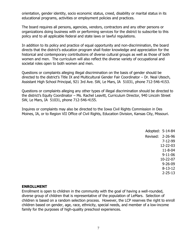orientation, gender identity, socio economic status, creed, disability or marital status in its educational programs, activities or employment policies and practices.

The board requires all persons, agencies, vendors, contractors and any other persons or organizations doing business with or performing services for the district to subscribe to this policy and to all applicable federal and state laws or lawful regulations.

In addition to its policy and practice of equal opportunity and non-discrimination, the board directs that the district's education program shall foster knowledge and appreciation for the historical and contemporary contributions of diverse cultural groups as well as those of both women and men. The curriculum will also reflect the diverse variety of occupational and societal roles open to both women and men.

Questions or complaints alleging illegal discrimination on the basis of gender should be directed to the district's Title IX and Multicultural Gender Fair Coordinator – Dr. Neal Utesch, Assistant High School Principal, 921 3rd Ave. SW, Le Mars, IA 51031, phone 712-546-4153.

Questions or complaints alleging any other types of illegal discrimination should be directed to the district's Equity Coordinator – Ms. Rachel Leavitt, Curriculum Director, 940 Lincoln Street SW, Le Mars, IA 51031, phone 712-546-4155.

Inquires or complaints may also be directed to the Iowa Civil Rights Commission in Des Moines, IA, or to Region VII Office of Civil Rights, Education Division, Kansas City, Missouri.

| Adopted: 5-14-84 |               |
|------------------|---------------|
| Revised:         | $2 - 26 - 96$ |
|                  | 7-12-99       |
|                  | 12-22-03      |
|                  | $11 - 8 - 04$ |
|                  | $9 - 11 - 06$ |
|                  | 10-22-07      |
|                  | $9 - 26 - 09$ |
|                  | 8-13-12       |
|                  | $2 - 25 - 13$ |

#### **ENROLLMENT**

Enrollment is open to children in the community with the goal of having a well-rounded, diverse group of children that is representative of the population of LeMars. Selection of children is based on a random selection process. However, the LCP reserves the right to enroll children based on gender, age, race, ethnicity, special needs, and member of a low-income family for the purposes of high-quality preschool experiences.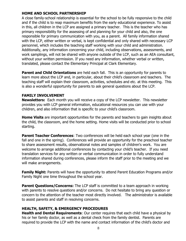# **HOME AND SCHOOL PARTNERSHIP**

A close family-school relationship is essential for the school to be fully responsive to the child and if the child is to reap maximum benefits from the early educational experience. To assist in this, all children in the LCP are assigned a primary teacher. This is the teacher who has primary responsibility for the assessing of and planning for your child and also, the one responsible for primary communication with you, as a parent. All family information shared with the LCP, either written or verbal, is kept confidential and only shared with necessary LCP personnel, which includes the teaching staff working with your child and administration. Additionally, any information concerning your child, including observations, assessments, and work samplings, will not be shared with anyone outside of the LCP, such as an AEA consultant, without your written permission. If you need any information, whether verbal or written, translated, please contact the Elementary Principal at Clark Elementary.

**Parent and Child Orientations** are held each fall. This is an opportunity for parents to learn more about the LCP and, in particular, about their child's classroom and teachers. The teaching staff will explain their classroom, activities, schedules and etc. at this meeting. This is also a wonderful opportunity for parents to ask general questions about the LCP.

#### **FAMILY INVOLVEMENT**

**Newsletters:** Each month you will receive a copy of the LCP newsletter. This newsletter provides you with LCP general information, educational resources you can use with your children, and also information that is specific to your child's classroom.

**Home Visits** are important opportunities for the parents and teachers to gain insights about the child, the classroom, and the home setting. Home visits will be conducted prior to school starting.

**Parent Teacher Conferences:** Two conferences will be held each school year (one in the fall and one in the spring). Conferences will provide an opportunity for the preschool teacher to share assessment results, observational notes and samples of children's work. You are welcome to arrange additional conferences by contacting your child's teacher. If you need translation services for any written or verbal communication in order to fully understand information shared during conferences, please inform the staff prior to the meeting and we will make arrangements.

**Family Night:** Parents will have the opportunity to attend Parent Education Programs and/or Family Night one time throughout the school year.

**Parent Questions/Concerns:** The LCP staff is committed to a team approach in working with parents to resolve questions and/or concerns. Do not hesitate to bring any question or concern to the attention of the teacher most directly involved. The administrator is available to assist parents and staff in resolving concerns.

#### **HEALTH, SAFETY, & EMERGENCY PROCEDURES**

**Health and Dental Requirements**: Our center requires that each child have a physical by his or her family doctor, as well as a dental check from the family dentist. Parents are required to provide the LCP with the name and contact information of the child's doctor and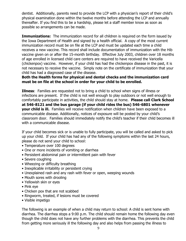dentist. Additionally, parents need to provide the LCP with a physician's report of their child's physical examination done within the twelve months before attending the LCP and annually thereafter. If you find this to be a hardship, please let a staff member know as soon as possible so arrangements can be made.

**Immunizations:** The immunization record for all children is required on the form issued by the Iowa Department of Health and signed by a health official. A copy of the most current immunization record must be on file at the LCP and must be updated each time a child receives a new vaccine. This record shall include documentation of immunization with the Hib vaccine given on or after the 15-month birthday. Effective July 2003, children over 18 months of age enrolled in licensed child care centers are required to have received the Varicella (chickenpox) vaccine. However, if your child has had the chickenpox disease in the past, it is not necessary to receive the vaccine. Simply note on the certificate of immunization that your child has had a diagnosed case of the disease.

#### **Both the Health forms for physical and dental checks and the immunization card must be on file at the school in order for your child to be enrolled.**

**Illness**: Families are requested not to bring a child to school when signs of illness or infections are present. If the child is not well enough to play outdoors or not well enough to comfortably participate in activities, the child should stay at home. **Please call Clark School at 546-8121 and the bus garage (if your child rides the bus) 546-6801 whenever your child is ill.** Families will receive notification when children have been exposed to a communicable disease. Additionally, notices of exposure will be posted by your child's classroom door. Families should immediately notify the child's teacher if their child becomes ill with a communicable disease.

If your child becomes sick or is unable to fully participate, you will be called and asked to pick up your child. If your child has had any of the following symptoms within the last 24 hours, please do not send your child to school:

- Temperature over 100 degrees
- One or more incidents of vomiting or diarrhea
- Persistent abdominal pain or intermittent pain with fever
- Severe coughing
- Wheezing or difficulty breathing
- Inexplicable irritability or persistent crying
- Unexplained rash and any rash with fever or open, weeping wounds
- Mouth sores with drooling
- Yellowish skin or eyes
- Pink eye
- Chicken pox that are not scabbed
- Ringworm, treated, if lesions must be covered
- Visible impetigo

The following is an example of when a child may return to school: A child is sent home with diarrhea. The diarrhea stops a 9:00 p.m. The child should remain home the following day even though the child does not have any further problems with the diarrhea. This prevents the child from getting more seriously ill the following day and also helps from passing the illness to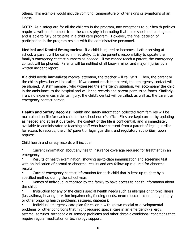others. This example would include vomiting, temperature or other signs or symptoms of an illness.

NOTE: As a safeguard for all the children in the program, any exceptions to our health policies require a written statement from the child's physician noting that he or she is not contagious and is able to fully participate in a child care program. However, the final decision of participation in the program resides with the administrative personnel.

**Medical and Dental Emergencies:** If a child is injured or becomes ill after arriving at school, a parent will be called immediately. It is the parent's responsibility to update the family's emergency contact numbers as needed. If we cannot reach a parent, the emergency contact will be phoned. Parents will be notified of all known minor and major injuries by a written incident report.

If a child needs **immediate** medical attention, the teacher will call **911**. Then, the parent or the child's physician will be called. If we cannot reach the parent, the emergency contact will be phoned. A staff member, who witnessed the emergency situation, will accompany the child in the ambulance to the hospital and will bring records and parent permission forms. Similarly, if a child experiences a dental injury, the child's dentist will be called, as well as, the parent or emergency contact person.

**Health and Safety Records:** Health and safety information collected from families will be maintained on file for each child in the school nurse's office. Files are kept current by updating as needed and at least quarterly. The content of the file is confidential, and is immediately available to administrator or teaching staff who have consent from a parent of legal guardian for access to records, the child' parent or legal guardian, and regulatory authorities, upon request.

Child health and safety records will include:

Current information about any health insurance coverage required for treatment in an emergency.

Results of health examination, showing up-to-date immunization and screening test with an indication of normal or abnormal results and any follow-up required for abnormal results;

Current emergency contact information for each child that is kept up to date by a specified method during the school year.

Names of individual authorized by the family to have access to health information about the child;

Instruction for any of the child's special health needs such as allergies or chronic illness (i.e. asthma, hearing or vision impairments, feeding needs, neuromuscular conditions, urinary or other ongoing health problems, seizures, diabetes);

Individual emergency care plan for children with known medial or developmental problems or other conditions that might required special care in an emergency (allergy, asthma, seizures, orthopedic or sensory problems and other chronic conditions; conditions that require regular medication or technology support.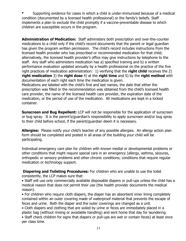Supporting evidence for cases in which a child is under-immunized because of a medical condition (documented by a licensed health professional) or the family's beliefs. Staff implements a plan to exclude the child promptly if a vaccine-preventable disease to which children are susceptible occurs in the program.

**Administration of Medication:** Staff administers both prescription and over-the-counter medications to a child only if the child's record documents that the parent or legal guardian has given the program written permission. The child's record includes instructions from the licensed health provider who has prescribed or recommended medication for that child; alternatively, the licensed health provider's office may give instructions by telephone to the staff. Any staff who administers medication has a) specified training and b) a written performance evaluation updated annually by a health professional on the practice of the five right practices of medication administration: 1) verifying that the **right child** receives the 2) **right medication** 3) the **right dose** 4) at the **right time** and 5) by the **right method** with documentation of each right each time the medication is given.

Medications are labeled with the child's first and last names, the date that either the prescription was filled or the recommendation was obtained from the child's licensed health care provider, the name of the licensed health care provider, the expiration date of the medication, or the period of use of the medication. All medications are kept in a locked container.

**Sunscreen and Bug Repellent:** LCP will not be responsible for the application of sunscreen or bug spray. It is the parent's/guardian's responsibility to apply sunscreen and/or bug spray to their child before school, if the parent/guardian deem it is necessary.

**Allergies:** Please notify your child's teacher of any possible allergies. An allergy action plan form should be completed and posted in all areas of the building your child will be participating.

Individual emergency care plan for children with known medial or developmental problems or other conditions that might require special care in an emergency (allergy, asthma, seizures, orthopedic or sensory problems and other chronic conditions; conditions that require regular medication or technology support.

**Diapering and Toileting Procedures:** For children who are unable to use the toilet consistently, the LCP makes sure that:

• Staff will use only commercially available disposable diapers or pull-ups unless the child has a medical reason that does not permit their use (the health provider documents the medical reason).

• For children who require cloth diapers, the diaper has an absorbent inner lining completely contained within an outer covering made of waterproof material that prevents the escape of feces and urine. Both the diaper and the outer coverings are changed as a unit.

• Cloth diapers and clothing that are soiled by urine or feces are immediately placed in a plastic bag (without rinsing or avoidable handling) and sent home that day for laundering.

• Staff check children for signs that diapers or pull-ups are wet or contain feces) at least once per class time.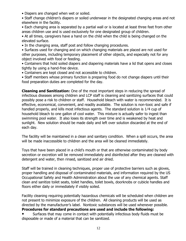- Diapers are changed when wet or soiled.
- Staff change children's diapers or soiled underwear in the designated changing areas and not elsewhere in the facility.
- Each changing area is separated by a partial wall or is located at least three feet from other areas children use and is used exclusively for one designated group of children.

• At all times, caregivers have a hand on the child when the child is being changed on the elevated surface.

• In the changing area, staff post and follow changing procedures.

• Surfaces used for changing and on which changing materials are placed are not used for other purposes, including temporary placement of other objects, and especially not for any object involved with food or feeding.

• Containers that hold soiled diapers and diapering materials have a lid that opens and closes tightly by using a hand-free device.

• Containers are kept closed and not accessible to children.

• Staff members whose primary function is preparing food do not change diapers until their food preparation duties are completed for the day.

**Cleaning and Sanitization:** One of the most important steps in reducing the spread of infectious diseases among children and LCP staff is cleaning and sanitizing surfaces that could possibly pose a risk to children or staff. Household bleach with water is recommended. It is effective, economical, convenient, and readily available. The solution is non-toxic and safe if handled properly, and kills most infectious agents. The standard solution is 1⁄4 cup of household bleach to one gallon of cool water. This mixture is actually safer to ingest than swimming pool water. It also loses its strength over time and is weakened by heat and sunlight. New solution should be made daily and left over solution discarded at the end of each day.

The facility will be maintained in a clean and sanitary condition. When a spill occurs, the area will be made inaccessible to children and the area will be cleaned immediately.

Toys that have been placed in a child's mouth or that are otherwise contaminated by body secretion or excretion will be removed immediately and disinfected after they are cleaned with detergent and water, then rinsed, sanitized and air dried.

Staff will be trained in cleaning techniques, proper use of protective barriers such as gloves, proper handling and disposal of contaminated materials, and information required by the US Occupational Safety and Health Administration about the use of any chemical agents. Staff clean and sanitize toilet seats, toilet handles, toilet bowls, doorknobs or cubicle handles and floors either daily or immediately if visibly soiled.

Facility cleaning requiring potentially hazardous chemicals will be scheduled when children are not present to minimize exposure of the children. All cleaning products will be used as directed by the manufacturer's label. Nontoxic substances will be used whenever possible. **Procedures for standard precautions are used and include the following:**

Surfaces that may come in contact with potentially infectious body fluids must be disposable or made of a material that can be sanitized.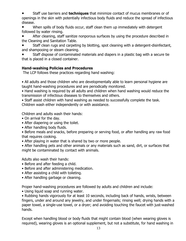Staff use barriers and **techniques** that minimize contact of mucus membranes or of openings in the skin with potentially infectious body fluids and reduce the spread of infectious disease.

When spills of body fluids occur, staff clean them up immediately with detergent followed by water rinsing.

After cleaning, staff sanitize nonporous surfaces by using the procedure described in the Cleaning and Sanitation Table.

Staff clean rugs and carpeting by blotting, spot cleaning with a detergent-disinfectant, and shampooing or steam cleaning.

Staff dispose of contaminated materials and diapers in a plastic bag with a secure tie that is placed in a closed container.

# **Hand-washing Policies and Procedures**

The LCP follows these practices regarding hand washing:

• All adults and those children who are developmentally able to learn personal hygiene are taught hand-washing procedures and are periodically monitored.

• Hand washing is required by all adults and children when hand washing would reduce the transmission of infectious diseases to themselves and others.

• Staff assist children with hand washing as needed to successfully complete the task. Children wash either independently or with assistance.

Children and adults wash their hands:

- On arrival for the day.
- After diapering or using the toilet.
- After handling body fluids.
- Before meals and snacks, before preparing or serving food, or after handling any raw food that requires cooking.
- After playing in water that is shared by two or more people.

• After handling pets and other animals or any materials such as sand, dirt, or surfaces that might be contaminated by contact with animals.

Adults also wash their hands:

- Before and after feeding a child.
- Before and after administering medication.
- After assisting a child with toileting.
- After handling garbage or cleaning.

Proper hand-washing procedures are followed by adults and children and include:

• Using liquid soap and running water.

• Rubbing hands vigorously for at least 10 seconds, including back of hands, wrists, between fingers, under and around any jewelry, and under fingernails; rinsing well; drying hands with a paper towel, a single-use towel, or a dryer; and avoiding touching the faucet with just-washed hands.

Except when handling blood or body fluids that might contain blood (when wearing gloves is required), wearing gloves is an optional supplement, but not a substitute, for hand washing in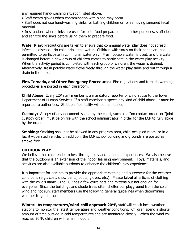any required hand-washing situation listed above.

- Staff wears gloves when contamination with blood may occur.
- Staff does not use hand-washing sinks for bathing children or for removing smeared fecal material.

• In situations where sinks are used for both food preparation and other purposes, staff clean and sanitize the sinks before using them to prepare food.

**Water Play:** Precautions are taken to ensure that communal water play does not spread infectious disease. No child drinks the water. Children with sores on their hands are not permitted to participate in communal water play. Fresh potable water is used, and the water is changed before a new group of children comes to participate in the water play activity. When the activity period is completed with each group of children, the water is drained. Alternatively, fresh potable water flows freely through the water play table and out through a drain in the table.

**Fire, Tornado, and Other Emergency Procedures:** Fire regulations and tornado warning procedures are posted in each classroom.

**Child Abuse**: Every LCP staff member is a mandatory reporter of child abuse to the Iowa Department of Human Services. If a staff member suspects any kind of child abuse, it must be reported to authorities. Strict confidentiality will be maintained.

**Custody:** A copy of any document issued by the court, such as a "no contact order" or "joint custody order" must be on file with the school administrator in order for the LCP to fully abide by the orders.

**Smoking:** Smoking shall not be allowed in any program area, child-occupied room, or in a facility-operated vehicle. In addition, the LCP school building and grounds are posted as smoke-free.

#### **OUTDOOR PLAY**

We believe that children learn best through play and hands-on experiences. We also believe that the outdoors is an extension of the indoor learning environment. Toys, materials, and activities are also available outdoors to enhance the children's play experience.

It is important for parents to provide the appropriate clothing and outerwear for the weather conditions (e.g., coat, snow pants, boots, gloves, etc.). Please **label** all articles of clothing with the child's name. The LCP has a few extra hats and mittens but not enough for everyone. Since the buildings and shade trees often shelter our playground from the cold wind and hot sun, staff members use the following general guidelines when determining whether to go outside:

**Winter: As temperatures/wind-chill approach 20°F,** staff will check local weather stations to monitor the latest temperature and weather conditions. Children spend a shorter amount of time outside in cold temperatures and are monitored closely. When the wind chill reaches 20°F, children will remain indoors.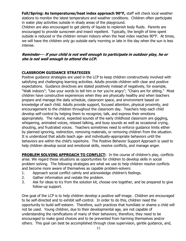**Fall/Spring: As temperatures/heat index approach 90°F,** staff will check local weather stations to monitor the latest temperature and weather conditions. Children often participate in water play activities outside in shady areas of the playground.

Children are also encouraged to get plenty of liquids to replenish body fluids. Parents are encouraged to provide sunscreen and insect repellent. Typically, the length of time spent outside is reduced or the children remain indoors when the heat index reaches 90°F. At times, we will have the children only go outside early morning or late in the day when the sun is less intense.

# **Reminder--- if your child is not well enough to participate in outdoor play, he or she is not well enough to attend the LCP.**

# **CLASSROOM GUIDANCE STRATEGIES**

Positive guidance strategies are used in the LCP to keep children constructively involved with satisfying and challenging learning activities. Adults provide children with clear and positive expectations. Guidance directives are stated positively instead of negatively, for example, "Walk indoors"; "Use your words to tell him or her you're angry"; "Chairs are for sitting." Most children have constructive experiences when they are physically healthy and when teachers prepare and manage the daily schedule, classroom space, and environment based on knowledge of each child. Adults provide support, focused attention, physical proximity, and encouragement to the children throughout the classroom day. Teachers help each child develop self-control by helping them to recognize, talk, and express their emotions appropriately. The natural, expected sounds of the early childhood classroom are giggling, whispering, animated voices, relaxed talking, and busy sounds as well as occasional crying, shouting, and frustrated voices. Teachers sometimes need to enforce guidance limits either by planned ignoring, redirection, removing materials, or removing children from the situation. It is understood that adults teach age- and individually-appropriate behaviors until the behaviors are within the child's repertoire. The Positive Behavior Support Approach is used to help children develop social and emotional skills, resolve conflicts, and manage anger.

**PROBLEM SOLVING APPROACH TO CONFLICT:** In the course of children's play, conflicts arise. We regard these situations as opportunities for children to develop skills in social problem solving. The following strategies are what we use to help children resolve conflicts and become more aware of themselves as capable problem-solvers:

- 1. Approach social conflict calmly and acknowledge children's feelings.
- 2. Gather information and restate the problem.
- 3. Ask for ideas to try from the solution kit, choose one together, and be prepared to give follow-up support.

One goal of the LCP is to help children develop a positive self-image. Children are encouraged to be self-directed and to exhibit self-control. In order to do this, children need the opportunity to build self-esteem. Therefore, such practices that humiliate or shame a child will not be used. Young children, due to their developmental age, are not capable of understanding the ramifications of many of their behaviors; therefore, they need to be encouraged to make good choices and to be prevented from harming themselves and/or others. This goal can best be accomplished through close supervision, gentle guidance, and,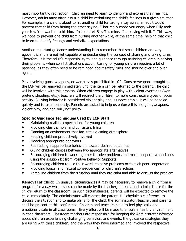most importantly, redirection. Children need to learn to identify and express their feelings. However, adults must often assist a child by verbalizing the child's feelings in a given situation. For example, if a child is about to hit another child for taking a toy away, an adult would prevent that child from hitting the other saying, "That really made you angry when Billy took your toy. You wanted to hit him. Instead, tell Billy 'It's mine. I'm playing with it.'" This way, we hope to prevent one child from hurting another while, at the same time, helping that child to learn to identify feelings and verbalize expectations.

Another important guidance understanding is to remember that small children are very egocentric and are not yet capable of understanding the concept of sharing and taking turns. Therefore, it is the adult's responsibility to lend guidance through assisting children in solving their problems when conflict situations occur. Caring for young children requires a lot of patience, as they often need to be reminded about safety rules and sharing over and over again.

Play involving guns, weapons, or war play is prohibited in LCP. Guns or weapons brought to the LCP will be removed immediately until the item can be returned to the parent. The child will be involved with this process. When children engage in play with violent overtones (war, pretend shooting, etc.), teachers will redirect the children to more constructive types of social activity. Bullying behavior is considered violent play and is unacceptable; it will be handled quickly and is taken seriously. Parents are asked to help us enforce this "no guns/weapons, violent play, and non-bullying" policy.

# **Specific Guidance Techniques Used by LCP Staff:**

- Maintaining realistic expectations for young children
- Providing clear, simple, and consistent limits
- Planning an environment that facilitates a caring atmosphere
- Keeping children productively involved
- Modeling appropriate behaviors
- Redirecting inappropriate behaviors toward desired outcomes
- Giving children choices between two appropriate alternatives
- Encouraging children to work together to solve problems and make cooperative decisions using the solution kit from Positive Behavior Supports
- Encouraging children to use their words to solve problems or to elicit peer cooperation
- Providing logical and natural consequences for children's actions
- Removing children from the situation until they are calm and able to discuss the problem

**Removal of Child**: In unusual circumstances it may be necessary to remove a child from a program for a day while plans can be made by the teacher, parents, and administrator for the child's return to the classroom. In such circumstances, parents will be expected to remove the child immediately. The administrator will contact the parents to schedule a conference to discuss the situation and to make plans for the child; the administrator, teacher, and parents shall be present at this conference. Children and teachers need to feel physically and emotionally safe in all classrooms. Every effort will be made to ensure a healthy environment in each classroom. Classroom teachers are responsible for keeping the Administrator informed about children experiencing challenging behaviors and events, the guidance strategies they are using with these children, and the ways they have informed and involved the respective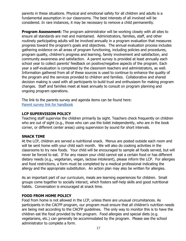parents in these situations. Physical and emotional safety for all children and adults is a fundamental assumption in our classrooms. The best interests of all involved will be considered. In rare instances, it may be necessary to remove a child permanently.

**Program Assessment:** The program administrator will be working closely with all sites to ensure all standards are met and maintained. Administrators, families, staff, and other routinely participating adults will be involved annually in a program evaluation that measures progress toward the program's goals and objectives. The annual evaluation process includes gathering evidence on all areas of program functioning, including policies and procedures, program quality, children's progress and learning, family involvement and satisfaction, and community awareness and satisfaction. A parent survey is provided at least annually each school year to collect parents' feedback on positive/negative aspects of the program. Each year a self-evaluation is completed by the classroom teachers and administrators, as well. Information gathered from all of these sources is used to continue to enhance the quality of the program and the services provided to children and families. Collaborative and shared decision making is used with all participants to build trust and enthusiasm for making program changes. Staff and families meet at least annually to consult on program planning and ongoing program operations.

The link to the parents survey and agenda items can be found here: [Parent survey link for handbook](https://docs.google.com/document/d/1Ei3gpJq42bQ2NfDqFEh9ctknRnRjoyqzoteKjFd9MHw/edit?usp=sharing)

# **LCP SUPERVISION POLICY**

Teaching staff supervise the children primarily by sight. Teachers check frequently on children who are out of sight (e.g., those who can use the toilet independently, who are in the book corner, or different center areas) using supervision by sound for short intervals.

#### **SNACK TIME**

At the LCP, children are served a nutritional snack. Menus are posted outside each room and will be sent home with your child each month. We will also do cooking activities in the classrooms to try new foods. Your child will be encouraged to sample all foods served, but will never be forced to eat. If for any reason your child cannot eat a certain food or has different dietary needs (e.g., vegetarian, vegan, lactose intolerant), please inform the LCP. For allergies and food restrictions, a form must be completed by a medical professional indicating the allergy and the appropriate substitution. An action plan may also be written for allergies.

As an important part of our curriculum, meals are learning experiences for children. Small groups come together to socially interact, which fosters self-help skills and good nutritional habits. Conversation is encouraged at snack time.

#### **FOOD FROM HOME POLICY**

Food from home is not allowed in the LCP, unless there are unusual circumstances. As participants in the CACFP program, our program must ensure that all children's nutrition needs are being met according to the CACFP guidelines. The only way to monitor this is to have the children eat the food provided by the program. Food allergies and special diets (e.g. vegetarians, etc.) can generally be accommodated by the program. Please see the school administrator to complete a form.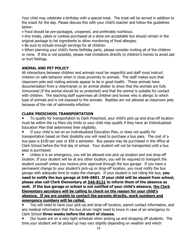Your child may celebrate a birthday with a special treat. The treat will be served in addition to the snack for the day. Please discuss this with your child's teacher and follow the guidelines below:

• Food should be pre-packaged, unopened, and preferably nutritious.

• Any treats, cakes or cookies purchased at a store are acceptable but should remain in the original package to list ingredients to allow monitoring of food allergies.

• Be sure to include enough servings for all children.

• When planning your child's home birthday party, please consider inviting all of the children or none. If this is not possible, please mail invitations directly to children's homes to avoid sad or hurt feelings.

# **ANIMAL AND PET POLICY**

All interactions between children and animals must be respectful and staff must instruct children on safe behavior when in close proximity to animals. The staff makes sure that classroom pets and visiting animals appear to be in good health. These animals have documentation from a veterinarian or an animal shelter to show that the animals are fully immunized (if the animal should be so protected) and that the animal is suitable for contact with children. The teaching staff supervises all children and knows who is allergic to which type of animals and is not exposed to the animals. Reptiles are not allowed as classroom pets because of the risk of salmonella infection.

# **CLARK PRESCHOOL TRANSPORTATION**

To qualify for transportation to Clark Preschool, your child's pick-up and drop-off location must be within the Le Mars city limits or your child may qualify if they have an Individualized Education Plan that determines their eligibility.

If your child is not on an Individualized Education Plan, or does not qualify for transportation based on their disability you will need to purchase a bus pass. The cost of a bus pass is \$100 per year or \$50 a semester. Bus passes may be purchased in the office at Clark School before the first day of school. Your student will not be transported until a bus pass is purchased.

Unless it is an emergency, you will be allowed one pick-up location and one drop-off location. If your student will be at any other location, you will be required to transport the student yourself unless you receive prior approval through the bus garage. If you have a permanent change to your student's pick-up or drop-off location, you must notify the bus garage with adequate time to make the changes. If your student is not riding the bus, **you need to notify the bus garage at 546-6801**. **If your child will be absent from school, please also call Clark Elementary at 546-8121 to inform them of the absence as well. If the bus garage or school is not notified of your child's absence, the Clark Elementary secretary will be calling to check on the reason for your child's absence. If we are unable to contact the parents directly, work numbers and emergency numbers will be called.**

You will need to have your pick-up and drop-off location, parent contact information, and any medical information that the bus driver might need to know in case of an emergency to Clark School **three weeks before the start of classes.**

Our buses are on a very tight schedule when picking up and dropping off students. The time your student will be picked up may vary slightly depending on weather and which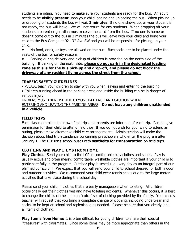students are riding. You need to make sure your students are ready for the bus. An adult needs to be **visibly present** upon your child loading and unloading the bus. When picking up or dropping off students the bus will wait **2 minutes**. If no one shows up, or your student is not ready, the bus will leave. We will not return for any students. When dropping off your students a parent or guardian must receive the child from the bus. If no one is home or doesn't come out to the bus in 2 minutes the bus will leave with your child and bring your child to the Bus Garage at 921 3<sup>rd</sup> Ave SW and you will be responsible for picking up your child.

● No food, drink, or toys are allowed on the bus. Backpacks are to be placed under the seats of the bus for safety reasons.

Parking during delivery and pickup of children is provided on the north side of the building. If parking on the north side, **please do not park in the designated loading zone as this is for the bus pick-up and drop-off, and please do not block the driveway of any resident living across the street from the school.** 

# **TRAFFIC SAFETY GUIDELINES**

• PLEASE teach your children to stay with you when leaving and entering the building.

• Children running ahead in the parking areas and inside the building can be in danger of serious injury.

DRIVERS MUST EXERCISE THE UTMOST PATIENCE AND CAUTION WHEN

#### ENTERING AND LEAVING THE PARKING AREAS. **Do not leave any children unattended in a vehicle**.

# **FIELD TRIPS**

Each classroom plans their own field trips and parents are informed of each trip. Parents give permission for their child to attend field trips. If you do not wish for your child to attend an outing, please make alternative child care arrangements. Administration will make the decision about filed trip attendance concerning preschoolers who enter the program after January 1. The LCP uses school buses with **seatbelts for transportation** on field trips.

# **CLOTHING AND PLAY ITEMS FROM HOME**

**Play Clothes:** Send your child to the LCP in comfortable play clothes and shoes. Play is usually active and often messy; comfortable, washable clothes are important if your child is to participate fully in the program. Outdoor play is scheduled every day as an integral part of our planned curriculum. We expect that you will send your child to school dressed for both indoor and outdoor activities. We recommend your child wear tennis shoes due to the large motor activities that take place during the school day.

Please send your child in clothes that are easily manageable when toileting. All children occasionally get their clothes wet and have toileting accidents. Whenever this occurs, it is best to change the child's clothes into an "extra" set of clothing provided by the family. Your child's teacher will request that you bring a complete change of clothing, including underwear and socks, to be kept at school and replenished as needed. Please be sure that you clearly label all items of clothing.

**Play Items from Home:** It is often difficult for young children to share their special "treasures" with classmates. Since some items may be more appropriate than others in the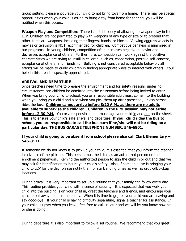group setting, please encourage your child to not bring toys from home. There may be special opportunities when your child is asked to bring a toy from home for sharing, you will be notified when this occurs.

**Weapon Play and Competition**: There is a strict policy of allowing no weapon play in the LCP. Children are not permitted to play with weapons of any type or size or to pretend that other items are weapons, including their fingers, hands, or blocks. Viewing aggressive acts in movies or television is NOT recommended for children. Competitive behavior is minimized in our programs. In young children, competition often increases negative behavior and decreases acceptance of others. Furthermore, competition can work against the positive characteristics we are trying to instill in children, such as, cooperation, positive self-concept, acceptance of others, and friendship. Bullying is not considered acceptable behavior; all efforts will be made to guide children in finding appropriate ways to interact with others. Your help in this area is especially appreciated.

# **ARRIVAL AND DEPARTURE**

Since teachers need time to prepare the environment and for safety reasons, under no circumstances can children be admitted into the classrooms before being invited to enter. When you bring your child to school, you or a responsible adult must come into the building when you bring your child and also when you pick them up after preschool, unless he/she rides the bus. **Children cannot arrive before 8:20 A.M., as there are no adults available to supervise the children. Children in the P.M. session may not arrive before 12:30 P.M.** You or a responsible adult must sign your child in and out on the sheet. This is to ensure your child's safe arrival and departure. **If your child rides the bus to school, you are responsible to call the bus barn if he/she will not be riding on a particular day. THE BUS GARAGE TELEPHONE NUMBER: 546-6801.** 

# **If your child is going to be absent from school please also call Clark Elementary – 546-8121.**

If someone we do not know is to pick up your child, it is essential that you inform the teacher in advance of the pick-up. This person must be listed as an authorized person on the enrollment paperwork. Remind the authorized person to sign the child in or out and that we may ask for identification to insure your child's safety. Also, if someone else is bringing your child to LCP for the day, please notify them of start/ending times as well as drop-off/pickup locations

During arrival, it is very important to set up a routine that your family can follow every day. This routine provides your child with a sense of security. It is expected that you walk your child into the building, sign your child in, greet the teachers and friends, and encourage your child to put away items in the cubby. When it is time to go, tell your child you are leaving and say good-bye. If your child is having difficulty separating, signal a teacher for assistance. If your child is upset when you leave, feel free to call us later and we will let you know how he or she is doing.

During departure it is also important to follow a set routine. We recommend that you greet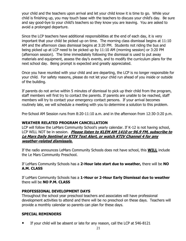your child and the teachers upon arrival and let your child know it is time to go. While your child is finishing up, you may touch base with the teachers to discuss your child's day. Be sure and say good-bye to your child's teachers so they know you are leaving. You are asked to avoid a prolonged departure.

Since the LCP teachers have additional responsibilities at the end of each day, it is very important that your child be picked up on time. The morning class dismissal begins at 11:10 AM and the afternoon class dismissal begins at 3:20 PM. Students not riding the bus and being picked up at LCP need to be picked up by 11:10 AM (morning session) or 3:20 PM (afternoon session). The time immediately following the dismissal is used to put away materials and equipment, assess the day's events, and to modify the curriculum plans for the next school day. Being prompt is expected and greatly appreciated.

Once you have reunited with your child and are departing, the LCP is no longer responsible for your child. For safety reasons, please do not let your child run ahead of you inside or outside of the building.

If parents do not arrive within 5 minutes of dismissal to pick up their child from the program, staff members will first try to contact the parents. If parents are unable to be reached, staff members will try to contact your emergency contact persons. If your arrival becomes routinely late, we will schedule a meeting with you to determine a solution to this problem.

Pre-School AM Session runs from 8:20-11:10 a.m. and in the afternoon from 12:30-3:20 p.m.

#### **WEATHER RELATED PROGRAM CANCELLATION**

LCP will follow the LeMars Community School's yearly calendar. If K-12 is not having school, LCP WILL NOT be in session. **Please listen to KLEM AM 1410 or 96.9 FM, subscribe to Le Mars Daily Sentinel or KTIV Text Alert, or watch KTIV Channel 4 for any weather-related dismissals.**

If the radio announces LeMars Community Schools does not have school, this **WILL** include the Le Mars Community Preschool.

If LeMars Community Schools has a **2-Hour late start due to weather,** there will be **NO A.M. CLASS**

If LeMars Community Schools has a **1-Hour or 2-Hour Early Dismissal due to weather**  there will be **NO P.M. CLASS**

# **PROFESSIONAL DEVELOPMENT DAYS**

Throughout the school year preschool teachers and associates will have professional development activities to attend and there will be no preschool on these days. Teachers will provide a monthly calendar so parents can plan for these days.

#### **SPECIAL REMINDERS**

If your child will be absent or late for any reason, call the LCP at 546-8121